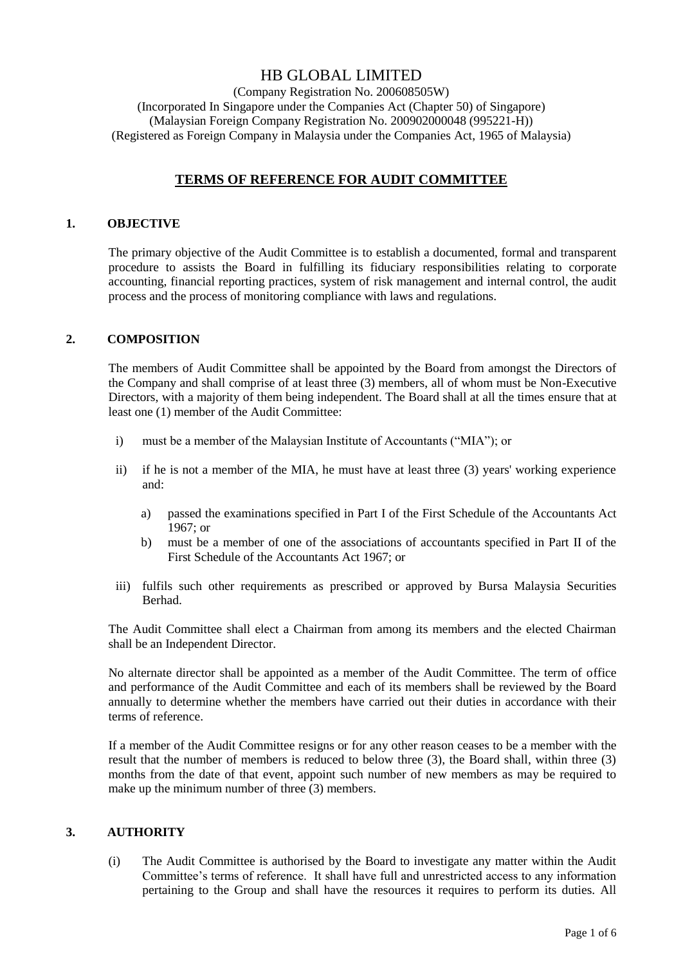# HB GLOBAL LIMITED

(Company Registration No. 200608505W) (Incorporated In Singapore under the Companies Act (Chapter 50) of Singapore) (Malaysian Foreign Company Registration No. 200902000048 (995221-H)) (Registered as Foreign Company in Malaysia under the Companies Act, 1965 of Malaysia)

## **TERMS OF REFERENCE FOR AUDIT COMMITTEE**

## **1. OBJECTIVE**

The primary objective of the Audit Committee is to establish a documented, formal and transparent procedure to assists the Board in fulfilling its fiduciary responsibilities relating to corporate accounting, financial reporting practices, system of risk management and internal control, the audit process and the process of monitoring compliance with laws and regulations.

## **2. COMPOSITION**

The members of Audit Committee shall be appointed by the Board from amongst the Directors of the Company and shall comprise of at least three (3) members, all of whom must be Non-Executive Directors, with a majority of them being independent. The Board shall at all the times ensure that at least one (1) member of the Audit Committee:

- i) must be a member of the Malaysian Institute of Accountants ("MIA"); or
- ii) if he is not a member of the MIA, he must have at least three (3) years' working experience and:
	- a) passed the examinations specified in Part I of the First Schedule of the Accountants Act 1967; or
	- b) must be a member of one of the associations of accountants specified in Part II of the First Schedule of the Accountants Act 1967; or
- iii) fulfils such other requirements as prescribed or approved by Bursa Malaysia Securities Berhad.

The Audit Committee shall elect a Chairman from among its members and the elected Chairman shall be an Independent Director.

No alternate director shall be appointed as a member of the Audit Committee. The term of office and performance of the Audit Committee and each of its members shall be reviewed by the Board annually to determine whether the members have carried out their duties in accordance with their terms of reference.

If a member of the Audit Committee resigns or for any other reason ceases to be a member with the result that the number of members is reduced to below three (3), the Board shall, within three (3) months from the date of that event, appoint such number of new members as may be required to make up the minimum number of three (3) members.

## **3. AUTHORITY**

(i) The Audit Committee is authorised by the Board to investigate any matter within the Audit Committee's terms of reference. It shall have full and unrestricted access to any information pertaining to the Group and shall have the resources it requires to perform its duties. All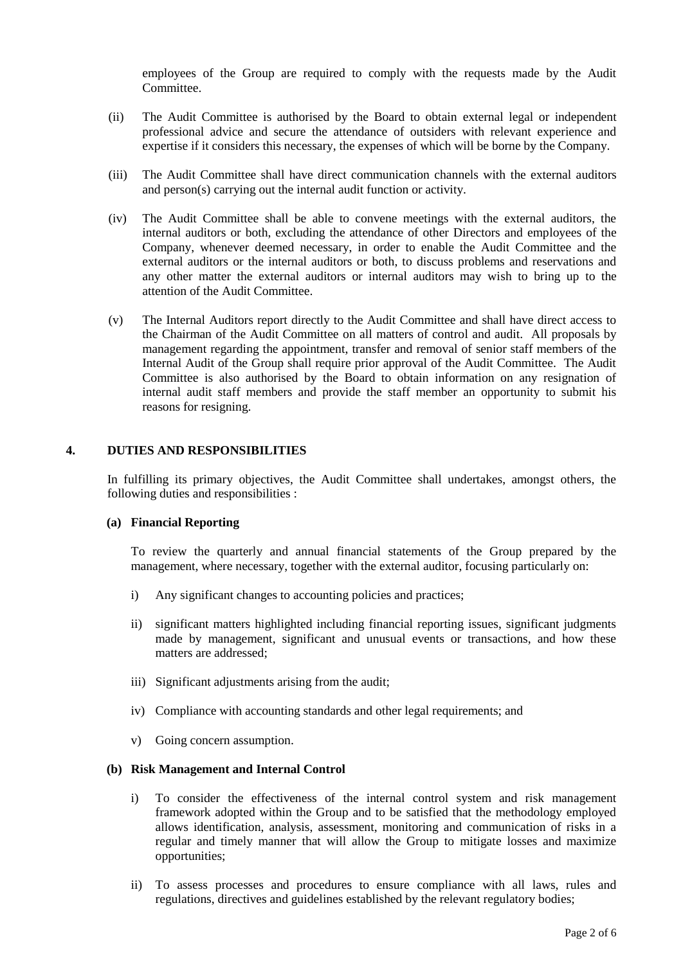employees of the Group are required to comply with the requests made by the Audit Committee.

- (ii) The Audit Committee is authorised by the Board to obtain external legal or independent professional advice and secure the attendance of outsiders with relevant experience and expertise if it considers this necessary, the expenses of which will be borne by the Company.
- (iii) The Audit Committee shall have direct communication channels with the external auditors and person(s) carrying out the internal audit function or activity.
- (iv) The Audit Committee shall be able to convene meetings with the external auditors, the internal auditors or both, excluding the attendance of other Directors and employees of the Company, whenever deemed necessary, in order to enable the Audit Committee and the external auditors or the internal auditors or both, to discuss problems and reservations and any other matter the external auditors or internal auditors may wish to bring up to the attention of the Audit Committee.
- (v) The Internal Auditors report directly to the Audit Committee and shall have direct access to the Chairman of the Audit Committee on all matters of control and audit. All proposals by management regarding the appointment, transfer and removal of senior staff members of the Internal Audit of the Group shall require prior approval of the Audit Committee. The Audit Committee is also authorised by the Board to obtain information on any resignation of internal audit staff members and provide the staff member an opportunity to submit his reasons for resigning.

## **4. DUTIES AND RESPONSIBILITIES**

In fulfilling its primary objectives, the Audit Committee shall undertakes, amongst others, the following duties and responsibilities :

#### **(a) Financial Reporting**

To review the quarterly and annual financial statements of the Group prepared by the management, where necessary, together with the external auditor, focusing particularly on:

- i) Any significant changes to accounting policies and practices;
- ii) significant matters highlighted including financial reporting issues, significant judgments made by management, significant and unusual events or transactions, and how these matters are addressed;
- iii) Significant adjustments arising from the audit;
- iv) Compliance with accounting standards and other legal requirements; and
- v) Going concern assumption.

## **(b) Risk Management and Internal Control**

- i) To consider the effectiveness of the internal control system and risk management framework adopted within the Group and to be satisfied that the methodology employed allows identification, analysis, assessment, monitoring and communication of risks in a regular and timely manner that will allow the Group to mitigate losses and maximize opportunities;
- ii) To assess processes and procedures to ensure compliance with all laws, rules and regulations, directives and guidelines established by the relevant regulatory bodies;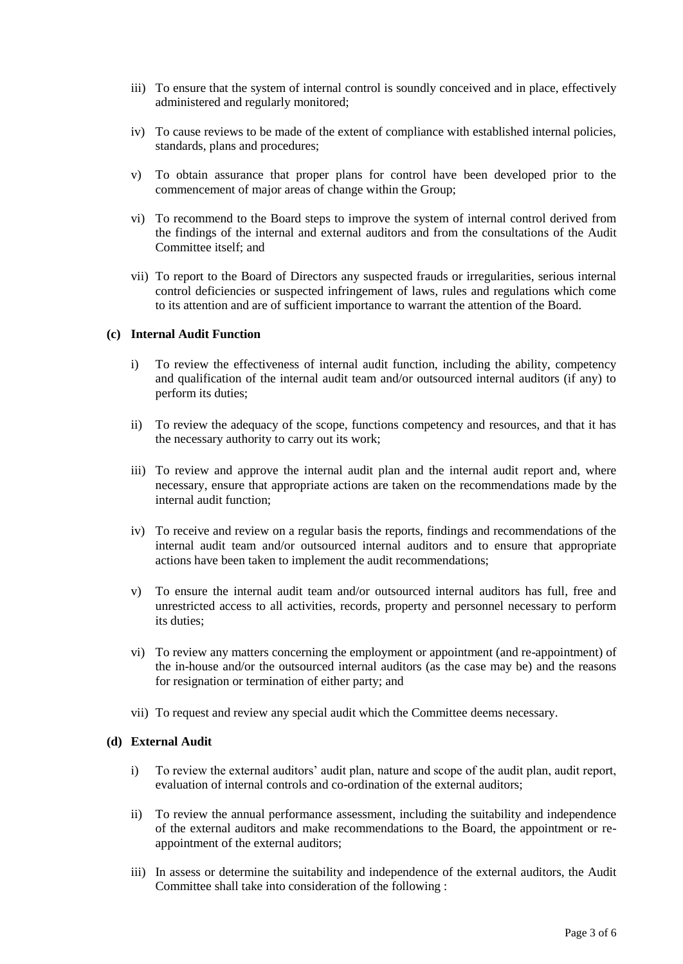- iii) To ensure that the system of internal control is soundly conceived and in place, effectively administered and regularly monitored;
- iv) To cause reviews to be made of the extent of compliance with established internal policies, standards, plans and procedures;
- v) To obtain assurance that proper plans for control have been developed prior to the commencement of major areas of change within the Group;
- vi) To recommend to the Board steps to improve the system of internal control derived from the findings of the internal and external auditors and from the consultations of the Audit Committee itself; and
- vii) To report to the Board of Directors any suspected frauds or irregularities, serious internal control deficiencies or suspected infringement of laws, rules and regulations which come to its attention and are of sufficient importance to warrant the attention of the Board.

## **(c) Internal Audit Function**

- i) To review the effectiveness of internal audit function, including the ability, competency and qualification of the internal audit team and/or outsourced internal auditors (if any) to perform its duties;
- ii) To review the adequacy of the scope, functions competency and resources, and that it has the necessary authority to carry out its work;
- iii) To review and approve the internal audit plan and the internal audit report and, where necessary, ensure that appropriate actions are taken on the recommendations made by the internal audit function;
- iv) To receive and review on a regular basis the reports, findings and recommendations of the internal audit team and/or outsourced internal auditors and to ensure that appropriate actions have been taken to implement the audit recommendations;
- v) To ensure the internal audit team and/or outsourced internal auditors has full, free and unrestricted access to all activities, records, property and personnel necessary to perform its duties;
- vi) To review any matters concerning the employment or appointment (and re-appointment) of the in-house and/or the outsourced internal auditors (as the case may be) and the reasons for resignation or termination of either party; and
- vii) To request and review any special audit which the Committee deems necessary.

#### **(d) External Audit**

- i) To review the external auditors' audit plan, nature and scope of the audit plan, audit report, evaluation of internal controls and co-ordination of the external auditors;
- ii) To review the annual performance assessment, including the suitability and independence of the external auditors and make recommendations to the Board, the appointment or reappointment of the external auditors;
- iii) In assess or determine the suitability and independence of the external auditors, the Audit Committee shall take into consideration of the following :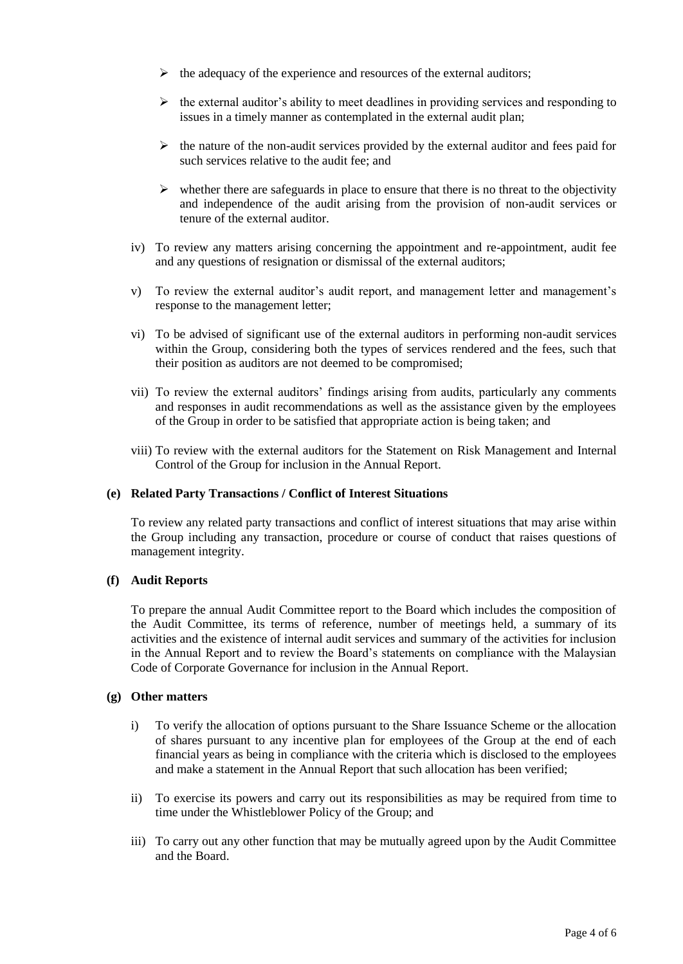- $\triangleright$  the adequacy of the experience and resources of the external auditors;
- $\triangleright$  the external auditor's ability to meet deadlines in providing services and responding to issues in a timely manner as contemplated in the external audit plan;
- $\triangleright$  the nature of the non-audit services provided by the external auditor and fees paid for such services relative to the audit fee; and
- $\triangleright$  whether there are safeguards in place to ensure that there is no threat to the objectivity and independence of the audit arising from the provision of non-audit services or tenure of the external auditor.
- iv) To review any matters arising concerning the appointment and re-appointment, audit fee and any questions of resignation or dismissal of the external auditors;
- v) To review the external auditor's audit report, and management letter and management's response to the management letter;
- vi) To be advised of significant use of the external auditors in performing non-audit services within the Group, considering both the types of services rendered and the fees, such that their position as auditors are not deemed to be compromised;
- vii) To review the external auditors' findings arising from audits, particularly any comments and responses in audit recommendations as well as the assistance given by the employees of the Group in order to be satisfied that appropriate action is being taken; and
- viii) To review with the external auditors for the Statement on Risk Management and Internal Control of the Group for inclusion in the Annual Report.

#### **(e) Related Party Transactions / Conflict of Interest Situations**

To review any related party transactions and conflict of interest situations that may arise within the Group including any transaction, procedure or course of conduct that raises questions of management integrity.

## **(f) Audit Reports**

To prepare the annual Audit Committee report to the Board which includes the composition of the Audit Committee, its terms of reference, number of meetings held, a summary of its activities and the existence of internal audit services and summary of the activities for inclusion in the Annual Report and to review the Board's statements on compliance with the Malaysian Code of Corporate Governance for inclusion in the Annual Report.

#### **(g) Other matters**

- i) To verify the allocation of options pursuant to the Share Issuance Scheme or the allocation of shares pursuant to any incentive plan for employees of the Group at the end of each financial years as being in compliance with the criteria which is disclosed to the employees and make a statement in the Annual Report that such allocation has been verified;
- ii) To exercise its powers and carry out its responsibilities as may be required from time to time under the Whistleblower Policy of the Group; and
- iii) To carry out any other function that may be mutually agreed upon by the Audit Committee and the Board.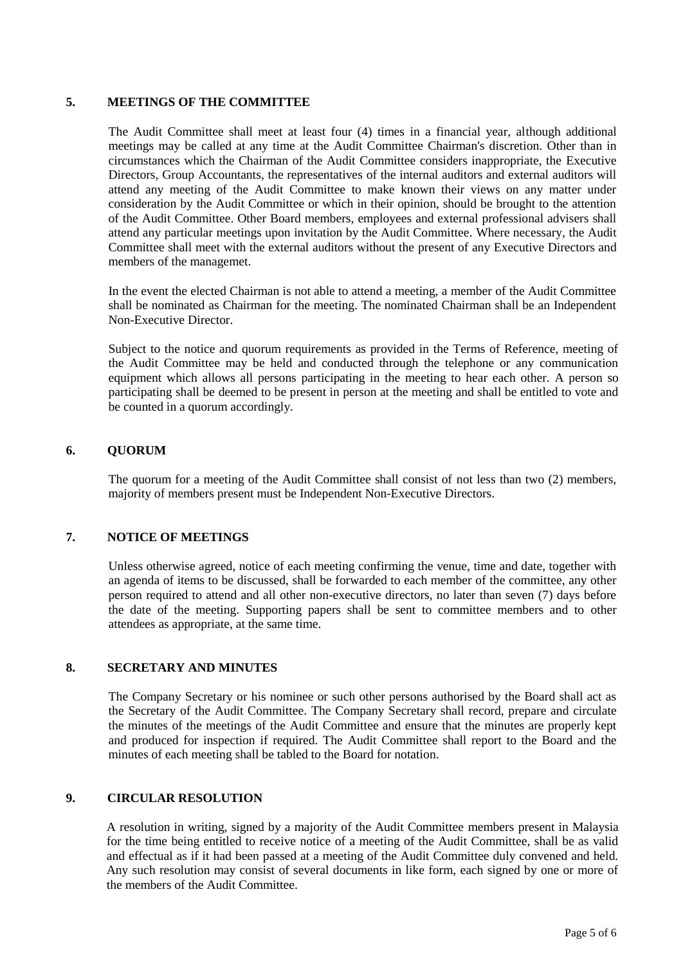## **5. MEETINGS OF THE COMMITTEE**

The Audit Committee shall meet at least four (4) times in a financial year, although additional meetings may be called at any time at the Audit Committee Chairman's discretion. Other than in circumstances which the Chairman of the Audit Committee considers inappropriate, the Executive Directors, Group Accountants, the representatives of the internal auditors and external auditors will attend any meeting of the Audit Committee to make known their views on any matter under consideration by the Audit Committee or which in their opinion, should be brought to the attention of the Audit Committee. Other Board members, employees and external professional advisers shall attend any particular meetings upon invitation by the Audit Committee. Where necessary, the Audit Committee shall meet with the external auditors without the present of any Executive Directors and members of the managemet.

In the event the elected Chairman is not able to attend a meeting, a member of the Audit Committee shall be nominated as Chairman for the meeting. The nominated Chairman shall be an Independent Non-Executive Director.

Subject to the notice and quorum requirements as provided in the Terms of Reference, meeting of the Audit Committee may be held and conducted through the telephone or any communication equipment which allows all persons participating in the meeting to hear each other. A person so participating shall be deemed to be present in person at the meeting and shall be entitled to vote and be counted in a quorum accordingly.

## **6. QUORUM**

The quorum for a meeting of the Audit Committee shall consist of not less than two (2) members, majority of members present must be Independent Non-Executive Directors.

## **7. NOTICE OF MEETINGS**

Unless otherwise agreed, notice of each meeting confirming the venue, time and date, together with an agenda of items to be discussed, shall be forwarded to each member of the committee, any other person required to attend and all other non-executive directors, no later than seven (7) days before the date of the meeting. Supporting papers shall be sent to committee members and to other attendees as appropriate, at the same time.

## **8. SECRETARY AND MINUTES**

The Company Secretary or his nominee or such other persons authorised by the Board shall act as the Secretary of the Audit Committee. The Company Secretary shall record, prepare and circulate the minutes of the meetings of the Audit Committee and ensure that the minutes are properly kept and produced for inspection if required. The Audit Committee shall report to the Board and the minutes of each meeting shall be tabled to the Board for notation.

## **9. CIRCULAR RESOLUTION**

A resolution in writing, signed by a majority of the Audit Committee members present in Malaysia for the time being entitled to receive notice of a meeting of the Audit Committee, shall be as valid and effectual as if it had been passed at a meeting of the Audit Committee duly convened and held. Any such resolution may consist of several documents in like form, each signed by one or more of the members of the Audit Committee.